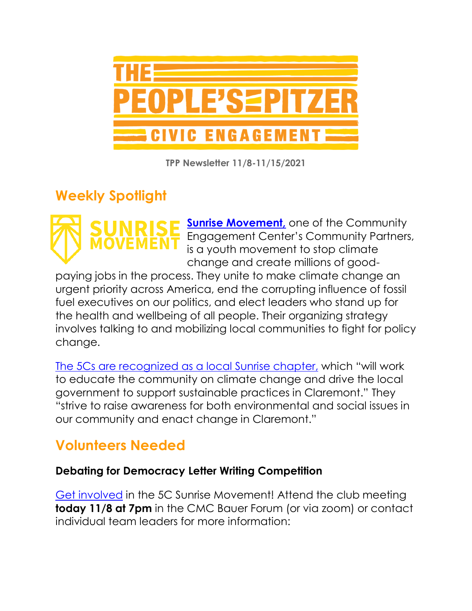

**TPP Newsletter 11/8-11/15/2021**

# **Weekly Spotlight**



**Sunrise Movement**, one of the Community Engagement Center's Community Partners, is a youth movement to stop climate change and create millions of good-

paying jobs in the process. They unite to make climate change an urgent priority across America, end the corrupting influence of fossil fuel executives on our politics, and elect leaders who stand up for the health and wellbeing of all people. Their organizing strategy involves talking to and mobilizing local communities to fight for policy change.

[The 5Cs are recognized as a local Sunrise chapter,](https://www.facebook.com/sunriseclaremontcolleges/) which "will work to educate the community on climate change and drive the local government to support sustainable practices in Claremont." They "strive to raise awareness for both environmental and social issues in our community and enact change in Claremont."

# **Volunteers Needed**

### **Debating for Democracy Letter Writing Competition**

[Get involved](https://www.sunrisemovement.org/volunteer/) in the 5C Sunrise Movement! Attend the club meeting **today 11/8 at 7pm** in the CMC Bauer Forum (or via zoom) or contact individual team leaders for more information: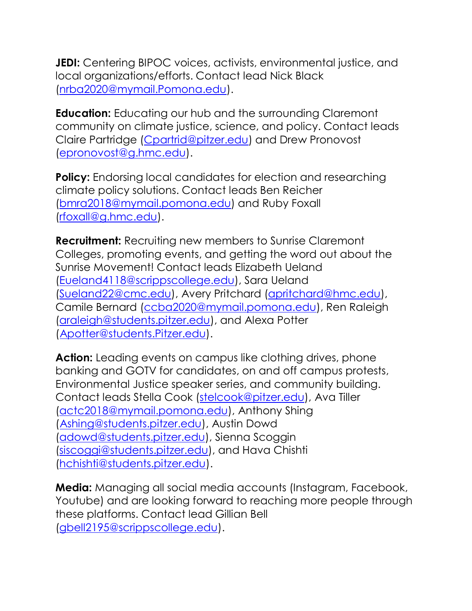**JEDI:** Centering BIPOC voices, activists, environmental justice, and local organizations/efforts. Contact lead Nick Black [\(nrba2020@mymail.Pomona.edu\)](mailto:nrba2020@mymail.Pomona.edu).

**Education:** Educating our hub and the surrounding Claremont community on climate justice, science, and policy. Contact leads Claire Partridge [\(Cpartrid@pitzer.edu\)](mailto:Cpartrid@pitzer.edu) and Drew Pronovost [\(epronovost@g.hmc.edu\)](mailto:epronovost@g.hmc.edu).

**Policy:** Endorsing local candidates for election and researching climate policy solutions. Contact leads Ben Reicher [\(bmra2018@mymail.pomona.edu\)](mailto:bmra2018@mymail.pomona.edu) and Ruby Foxall [\(rfoxall@g.hmc.edu\)](mailto:rfoxall@g.hmc.edu).

**Recruitment:** Recruiting new members to Sunrise Claremont Colleges, promoting events, and getting the word out about the Sunrise Movement! Contact leads Elizabeth Ueland [\(Eueland4118@scrippscollege.edu\)](mailto:Eueland4118@scrippscollege.edu), Sara Ueland [\(Sueland22@cmc.edu\)](mailto:Sueland22@cmc.edu), Avery Pritchard [\(apritchard@hmc.edu\)](mailto:apritchard@hmc.edu), Camile Bernard [\(ccba2020@mymail.pomona.edu\)](mailto:ccba2020@mymail.pomona.edu), Ren Raleigh [\(araleigh@students.pitzer.edu\)](mailto:araleigh@students.pitzer.edu), and Alexa Potter [\(Apotter@students.Pitzer.edu\)](mailto:Apotter@students.Pitzer.edu).

Action: Leading events on campus like clothing drives, phone banking and GOTV for candidates, on and off campus protests, Environmental Justice speaker series, and community building. Contact leads Stella Cook [\(stelcook@pitzer.edu\)](mailto:stelcook@pitzer.edu), Ava Tiller [\(actc2018@mymail.pomona.edu\)](mailto:actc2018@mymail.pomona.edu), Anthony Shing [\(Ashing@students.pitzer.edu\)](mailto:Ashing@students.pitzer.edu), Austin Dowd [\(adowd@students.pitzer.edu\)](mailto:adowd@students.pitzer.edu), Sienna Scoggin [\(siscoggi@students.pitzer.edu\)](mailto:siscoggi@students.pitzer.edu), and Hava Chishti [\(hchishti@students.pitzer.edu\)](mailto:hchishti@students.pitzer.edu).

**Media:** Managing all social media accounts (Instagram, Facebook, Youtube) and are looking forward to reaching more people through these platforms. Contact lead Gillian Bell [\(gbell2195@scrippscollege.edu\)](mailto:gbell2195@scrippscollege.edu).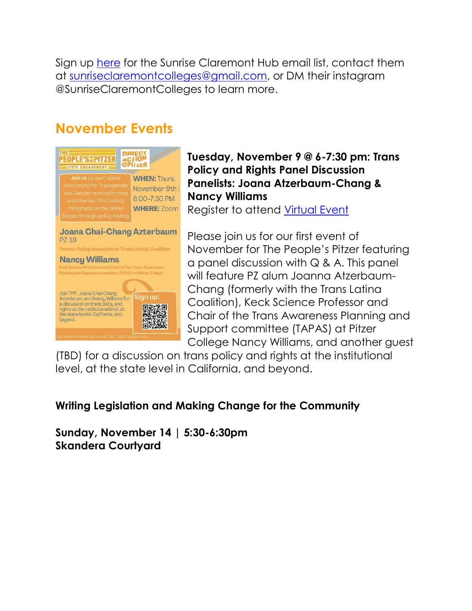Sign up [here](https://docs.google.com/forms/d/e/1FAIpQLSdeVTj7KQasWJqEPwF3uxd1OkrNwxrasUyFe5mNNsj3oks7WQ/viewform) for the Sunrise Claremont Hub email list, contact them at [sunriseclaremontcolleges@gmail.com,](mailto:sunriseclaremontcolleges@gmail.com) or DM their instagram @SunriseClaremontColleges to learn more.

# **November Events**



### **Tuesday, November 9 @ 6-7:30 pm: Trans Policy and Rights Panel Discussion Panelists: Joana Atzerbaum-Chang & Nancy Williams**

Register to attend [Virtual Event](https://pitzer.zoom.us/meeting/register/tZMpcOqqpjkqGNOQfZbI4OpPLnVfXtwN2yiX)

Please join us for our first event of November for The People's Pitzer featuring a panel discussion with Q & A. This panel will feature PZ alum Joanna Atzerbaum-Chang (formerly with the Trans Latina Coalition), Keck Science Professor and Chair of the Trans Awareness Planning and Support committee (TAPAS) at Pitzer College Nancy Williams, and another guest

(TBD) for a discussion on trans policy and rights at the institutional level, at the state level in California, and beyond.

### **Writing Legislation and Making Change for the Community**

**Sunday, November 14 | 5:30-6:30pm Skandera Courtyard**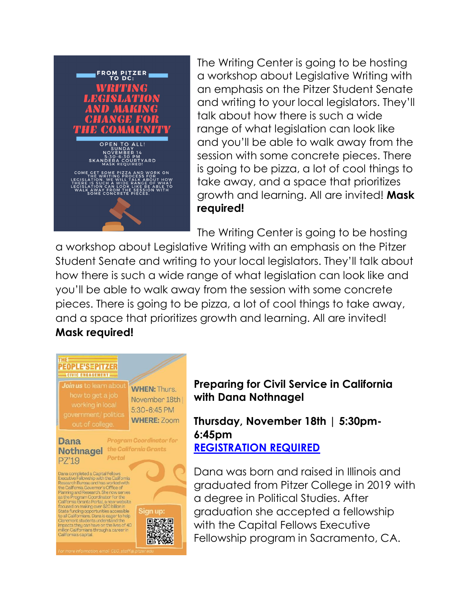

The Writing Center is going to be hosting a workshop about Legislative Writing with an emphasis on the Pitzer Student Senate and writing to your local legislators. They'll talk about how there is such a wide range of what legislation can look like and you'll be able to walk away from the session with some concrete pieces. There is going to be pizza, a lot of cool things to take away, and a space that prioritizes growth and learning. All are invited! **Mask required!**

The Writing Center is going to be hosting

a workshop about Legislative Writing with an emphasis on the Pitzer Student Senate and writing to your local legislators. They'll talk about how there is such a wide range of what legislation can look like and you'll be able to walk away from the session with some concrete pieces. There is going to be pizza, a lot of cool things to take away, and a space that prioritizes growth and learning. All are invited! **Mask required!**

#### **THE EOPLE'SEPITZER CIVIC ENGAGEMENT:**

**WHEN: Thurs.** November 18th | 5:30-6:45 PM **WHERE: Zoom** 

**Dana** PZ'19

**Program Coordinator for Nothnagel** the California Grants Portal

Sign up:

Dana completed a Capital Fellows<br>
Executive Fellowship with the California<br>
Research Bureau and has worked with<br>
the California Governor's Office of<br>
Planning and Research. She now serves<br>
as the Program Coordinator for th Californias capital.



**Thursday, November 18th | 5:30pm-6:45pm [REGISTRATION REQUIRED](https://pitzer.zoom.us/meeting/register/tZ0qduyprTIiG92rooA7fQbXoUUFmreBoidw)**

Dana was born and raised in Illinois and graduated from Pitzer College in 2019 with a degree in Political Studies. After graduation she accepted a fellowship with the Capital Fellows Executive Fellowship program in Sacramento, CA.